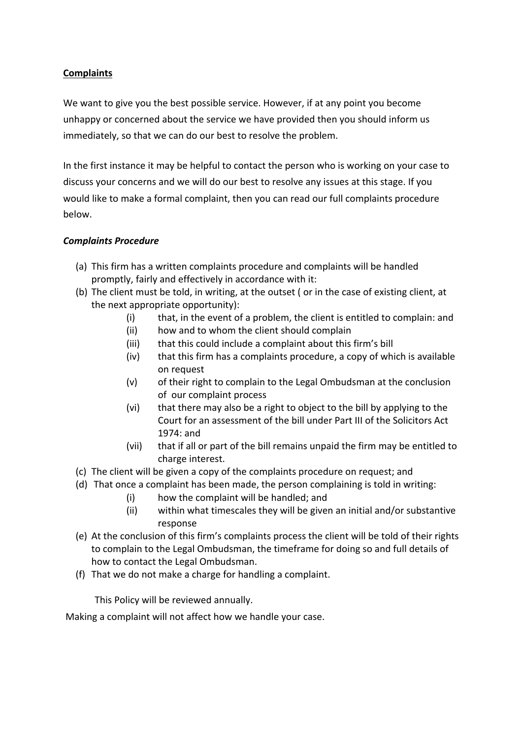## **Complaints**

We want to give you the best possible service. However, if at any point you become unhappy or concerned about the service we have provided then you should inform us immediately, so that we can do our best to resolve the problem.

In the first instance it may be helpful to contact the person who is working on your case to discuss your concerns and we will do our best to resolve any issues at this stage. If you would like to make a formal complaint, then you can read our full complaints procedure below.

## *Complaints Procedure*

- (a) This firm has a written complaints procedure and complaints will be handled promptly, fairly and effectively in accordance with it:
- (b) The client must be told, in writing, at the outset (or in the case of existing client, at the next appropriate opportunity):
	- $(i)$  that, in the event of a problem, the client is entitled to complain: and
	- (ii) how and to whom the client should complain
	- (iii) that this could include a complaint about this firm's bill
	- (iv) that this firm has a complaints procedure, a copy of which is available on request
	- $(v)$  of their right to complain to the Legal Ombudsman at the conclusion of our complaint process
	- (vi) that there may also be a right to object to the bill by applying to the Court for an assessment of the bill under Part III of the Solicitors Act 1974: and
	- (vii) that if all or part of the bill remains unpaid the firm may be entitled to charge interest.
- (c) The client will be given a copy of the complaints procedure on request; and
- (d) That once a complaint has been made, the person complaining is told in writing:
	- $(i)$  how the complaint will be handled; and
	- (ii) within what timescales they will be given an initial and/or substantive response
- (e) At the conclusion of this firm's complaints process the client will be told of their rights to complain to the Legal Ombudsman, the timeframe for doing so and full details of how to contact the Legal Ombudsman.
- (f) That we do not make a charge for handling a complaint.

This Policy will be reviewed annually.

Making a complaint will not affect how we handle your case.